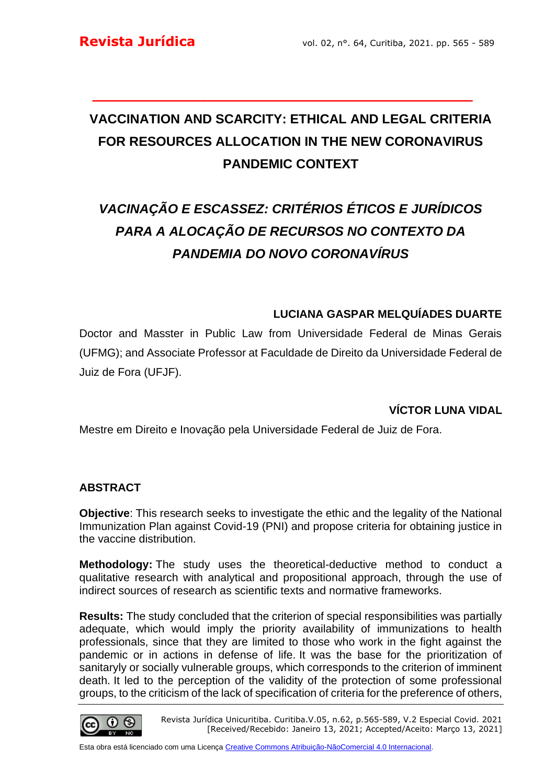# **VACCINATION AND SCARCITY: ETHICAL AND LEGAL CRITERIA FOR RESOURCES ALLOCATION IN THE NEW CORONAVIRUS PANDEMIC CONTEXT**

**\_\_\_\_\_\_\_\_\_\_\_\_\_\_\_\_\_\_\_\_\_\_\_\_\_\_\_\_\_\_\_\_\_\_\_\_\_\_\_\_\_**

# *VACINAÇÃO E ESCASSEZ: CRITÉRIOS ÉTICOS E JURÍDICOS PARA A ALOCAÇÃO DE RECURSOS NO CONTEXTO DA PANDEMIA DO NOVO CORONAVÍRUS*

## **LUCIANA GASPAR MELQUÍADES DUARTE**

Doctor and Masster in Public Law from Universidade Federal de Minas Gerais (UFMG); and Associate Professor at Faculdade de Direito da Universidade Federal de Juiz de Fora (UFJF).

## **VÍCTOR LUNA VIDAL**

Mestre em Direito e Inovação pela Universidade Federal de Juiz de Fora.

#### **ABSTRACT**

**Objective**: This research seeks to investigate the ethic and the legality of the National Immunization Plan against Covid-19 (PNI) and propose criteria for obtaining justice in the vaccine distribution.

**Methodology:** The study uses the theoretical-deductive method to conduct a qualitative research with analytical and propositional approach, through the use of indirect sources of research as scientific texts and normative frameworks.

**Results:** The study concluded that the criterion of special responsibilities was partially adequate, which would imply the priority availability of immunizations to health professionals, since that they are limited to those who work in the fight against the pandemic or in actions in defense of life. It was the base for the prioritization of sanitaryly or socially vulnerable groups, which corresponds to the criterion of imminent death. It led to the perception of the validity of the protection of some professional groups, to the criticism of the lack of specification of criteria for the preference of others,

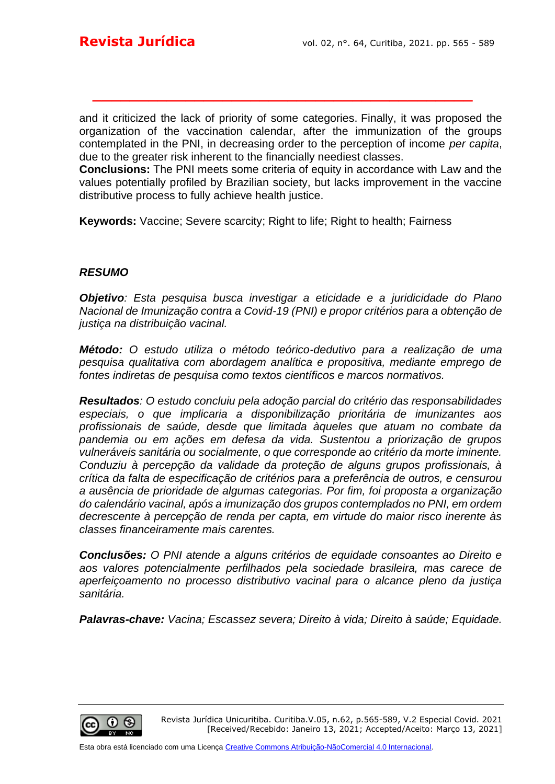and it criticized the lack of priority of some categories. Finally, it was proposed the organization of the vaccination calendar, after the immunization of the groups contemplated in the PNI, in decreasing order to the perception of income *per capita*, due to the greater risk inherent to the financially neediest classes.

**\_\_\_\_\_\_\_\_\_\_\_\_\_\_\_\_\_\_\_\_\_\_\_\_\_\_\_\_\_\_\_\_\_\_\_\_\_\_\_\_\_**

**Conclusions:** The PNI meets some criteria of equity in accordance with Law and the values potentially profiled by Brazilian society, but lacks improvement in the vaccine distributive process to fully achieve health justice.

**Keywords:** Vaccine; Severe scarcity; Right to life; Right to health; Fairness

#### *RESUMO*

*Objetivo: Esta pesquisa busca investigar a eticidade e a juridicidade do Plano Nacional de Imunização contra a Covid-19 (PNI) e propor critérios para a obtenção de justiça na distribuição vacinal.* 

*Método: O estudo utiliza o método teórico-dedutivo para a realização de uma pesquisa qualitativa com abordagem analítica e propositiva, mediante emprego de fontes indiretas de pesquisa como textos científicos e marcos normativos.* 

*Resultados: O estudo concluiu pela adoção parcial do critério das responsabilidades especiais, o que implicaria a disponibilização prioritária de imunizantes aos profissionais de saúde, desde que limitada àqueles que atuam no combate da pandemia ou em ações em defesa da vida. Sustentou a priorização de grupos vulneráveis sanitária ou socialmente, o que corresponde ao critério da morte iminente. Conduziu à percepção da validade da proteção de alguns grupos profissionais, à crítica da falta de especificação de critérios para a preferência de outros, e censurou a ausência de prioridade de algumas categorias. Por fim, foi proposta a organização do calendário vacinal, após a imunização dos grupos contemplados no PNI, em ordem decrescente à percepção de renda per capta, em virtude do maior risco inerente às classes financeiramente mais carentes.* 

*Conclusões: O PNI atende a alguns critérios de equidade consoantes ao Direito e aos valores potencialmente perfilhados pela sociedade brasileira, mas carece de aperfeiçoamento no processo distributivo vacinal para o alcance pleno da justiça sanitária.*

*Palavras-chave: Vacina; Escassez severa; Direito à vida; Direito à saúde; Equidade.*

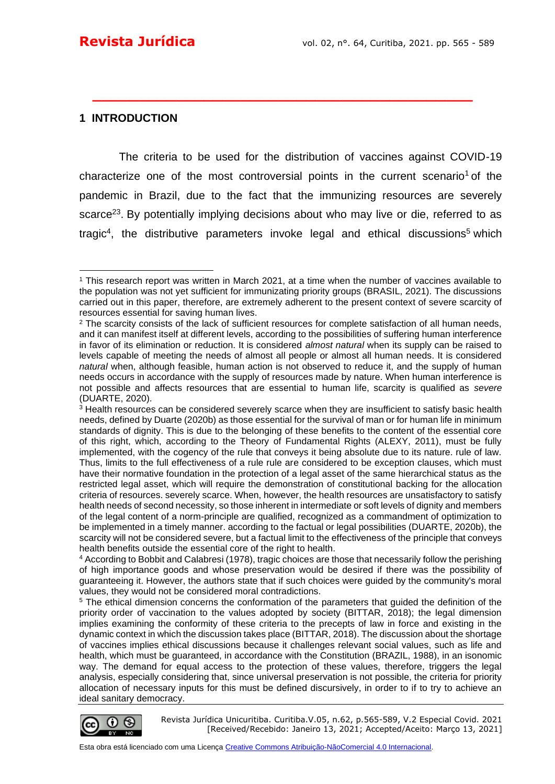#### **1 INTRODUCTION**

The criteria to be used for the distribution of vaccines against COVID-19 characterize one of the most controversial points in the current [scenario](https://www.translatoruser.net/bvsandbox.aspx?&from=pt&to=en&csId=479abae2-512a-473d-8fb9-428485b95340&usId=c7a84ef1-f180-4715-8742-b831c5ad15af&ac=true&bvrpx=false&bvrpp=&dt=2021%2F3%2F31%2013%3A41#_ftn1)<sup>1</sup> of the pandemic in Brazil, due to the fact that the immunizing resources are severely scarce<sup>23</sup>. By potentially implying decisions about who may live or die, referred to as tragic<sup>4</sup>, the distributive parameters invoke legal and ethical [discussions](https://www.translatoruser.net/bvsandbox.aspx?&from=pt&to=en&csId=479abae2-512a-473d-8fb9-428485b95340&usId=c7a84ef1-f180-4715-8742-b831c5ad15af&ac=true&bvrpx=false&bvrpp=&dt=2021%2F3%2F31%2013%3A41#_ftn4)<sup>5</sup> which

**\_\_\_\_\_\_\_\_\_\_\_\_\_\_\_\_\_\_\_\_\_\_\_\_\_\_\_\_\_\_\_\_\_\_\_\_\_\_\_\_\_**

<sup>5</sup> The ethical dimension concerns the conformation of the parameters that guided the definition of the priority order of vaccination to the values adopted by society (BITTAR, 2018); the legal dimension implies examining the conformity of these criteria to the precepts of law in force and existing in the dynamic context in which the discussion takes place (BITTAR, 2018). The discussion about the shortage of vaccines implies ethical discussions because it challenges relevant social values, such as life and health, which must be guaranteed, in accordance with the Constitution (BRAZIL, 1988), in an isonomic way. The demand for equal access to the protection of these values, therefore, triggers the legal analysis, especially considering that, since universal preservation is not possible, the criteria for priority allocation of necessary inputs for this must be defined discursively, in order to if to try to achieve an ideal sanitary democracy.



<sup>1</sup> This research report was written in March 2021, at a time when the number of vaccines available to the population was not yet sufficient for immunizating priority groups (BRASIL, 2021). The discussions carried out in this paper, therefore, are extremely adherent to the present context of severe scarcity of resources essential for saving human lives.

<sup>&</sup>lt;sup>2</sup> The scarcity consists of the lack of sufficient resources for complete satisfaction of all human needs. and it can manifest itself at different levels, according to the possibilities of suffering human interference in favor of its elimination or reduction. It is considered *almost natural* when its supply can be raised to levels capable of meeting the needs of almost all people or almost all human needs. It is considered *natural* when, although feasible, human action is not observed to reduce it, and the supply of human needs occurs in accordance with the supply of resources made by nature. When human interference is not possible and affects resources that are essential to human life, scarcity is qualified as *severe* (DUARTE, 2020).

<sup>&</sup>lt;sup>3</sup> Health resources can be considered severely scarce when they are insufficient to satisfy basic health needs, defined by Duarte (2020b) as those essential for the survival of man or for human life in minimum standards of dignity. This is due to the belonging of these benefits to the content of the essential core of this right, which, according to the Theory of Fundamental Rights (ALEXY, 2011), must be fully implemented, with the cogency of the rule that conveys it being absolute due to its nature. rule of law. Thus, limits to the full effectiveness of a rule rule are considered to be exception clauses, which must have their normative foundation in the protection of a legal asset of the same hierarchical status as the restricted legal asset, which will require the demonstration of constitutional backing for the allocation criteria of resources. severely scarce. When, however, the health resources are unsatisfactory to satisfy health needs of second necessity, so those inherent in intermediate or soft levels of dignity and members of the legal content of a norm-principle are qualified, recognized as a commandment of optimization to be implemented in a timely manner. according to the factual or legal possibilities (DUARTE, 2020b), the scarcity will not be considered severe, but a factual limit to the effectiveness of the principle that conveys health benefits outside the essential core of the right to health.

<sup>4</sup> According to Bobbit and Calabresi (1978), tragic choices are those that necessarily follow the perishing of high importance goods and whose preservation would be desired if there was the possibility of guaranteeing it. However, the authors state that if such choices were guided by the community's moral values, they would not be considered moral contradictions.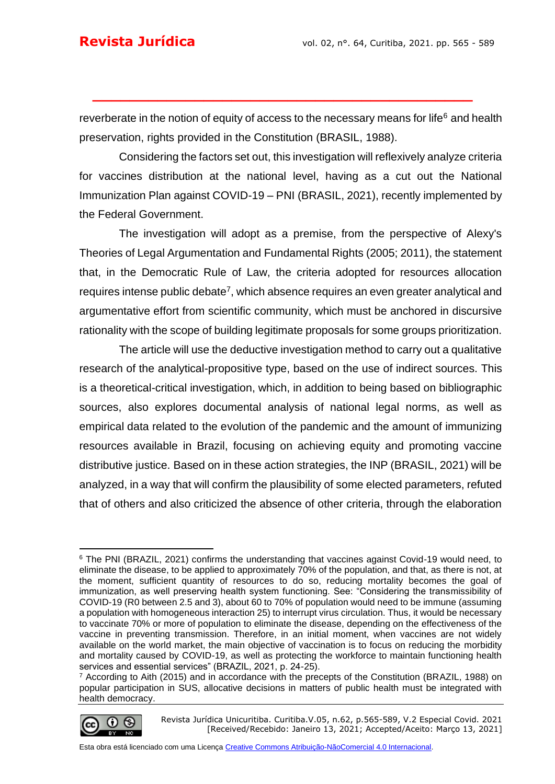reverberate in the notion of equity of access to the necessary means for life<sup>[6](https://www.translatoruser.net/bvsandbox.aspx?&from=pt&to=en&csId=479abae2-512a-473d-8fb9-428485b95340&usId=c7a84ef1-f180-4715-8742-b831c5ad15af&ac=true&bvrpx=false&bvrpp=&dt=2021%2F3%2F31%2013%3A41#_ftn5)</sup> and health preservation, rights provided in the Constitution (BRASIL, 1988).

**\_\_\_\_\_\_\_\_\_\_\_\_\_\_\_\_\_\_\_\_\_\_\_\_\_\_\_\_\_\_\_\_\_\_\_\_\_\_\_\_\_**

Considering the factors set out, this investigation will reflexively analyze criteria for vaccines distribution at the national level, having as a cut out the National Immunization Plan against COVID-19 – PNI (BRASIL, 2021), recently implemented by the Federal Government.

The investigation will adopt as a premise, from the perspective of Alexy's Theories of Legal Argumentation and Fundamental Rights (2005; 2011), the statement that, in the Democratic Rule of Law, the criteria adopted for resources allocation requires intense public debate<sup>7</sup>, which absence requires an even greater analytical and argumentative effort from scientific community, which must be anchored in discursive rationality with the scope of building legitimate proposals for some groups prioritization.

The article will use the deductive investigation method to carry out a qualitative research of the analytical-propositive type, based on the use of indirect sources. This is a theoretical-critical investigation, which, in addition to being based on bibliographic sources, also explores documental analysis of national legal norms, as well as empirical data related to the evolution of the pandemic and the amount of immunizing resources available in Brazil, focusing on achieving equity and promoting vaccine distributive justice. Based on in these action strategies, the INP (BRASIL, 2021) will be analyzed, in a way that will confirm the plausibility of some elected parameters, refuted that of others and also criticized the absence of other criteria, through the elaboration

<sup>7</sup> According to Aith (2015) and in accordance with the precepts of the Constitution (BRAZIL, 1988) on popular participation in SUS, allocative decisions in matters of public health must be integrated with health democracy.



Revista Jurídica Unicuritiba. Curitiba.V.05, n.62, p.565-589, V.2 Especial Covid. 2021 [Received/Recebido: Janeiro 13, 2021; Accepted/Aceito: Março 13, 2021]

<sup>6</sup> The PNI (BRAZIL, 2021) confirms the understanding that vaccines against Covid-19 would need, to eliminate the disease, to be applied to approximately 70% of the population, and that, as there is not, at the moment, sufficient quantity of resources to do so, reducing mortality becomes the goal of immunization, as well preserving health system functioning. See: "Considering the transmissibility of COVID-19 (R0 between 2.5 and 3), about 60 to 70% of population would need to be immune (assuming a population with homogeneous interaction 25) to interrupt virus circulation. Thus, it would be necessary to vaccinate 70% or more of population to eliminate the disease, depending on the effectiveness of the vaccine in preventing transmission. Therefore, in an initial moment, when vaccines are not widely available on the world market, the main objective of vaccination is to focus on reducing the morbidity and mortality caused by COVID-19, as well as protecting the workforce to maintain functioning health services and essential services" (BRAZIL, 2021, p. 24-25).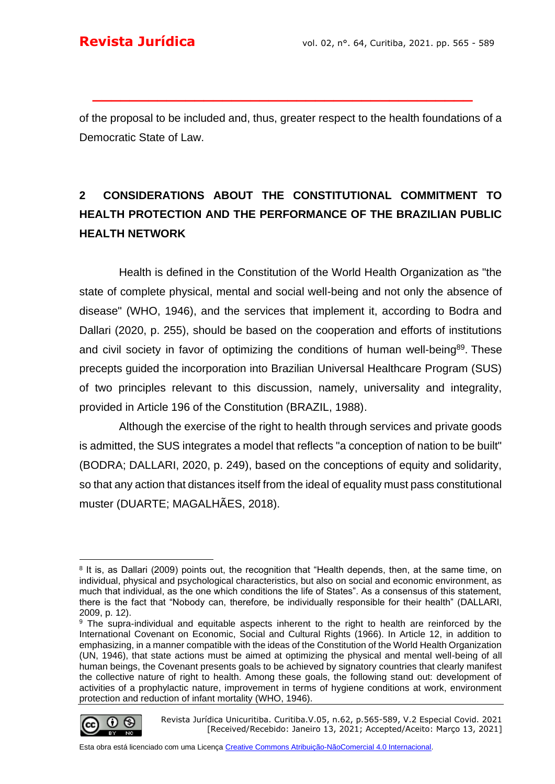of the proposal to be included and, thus, greater respect to the health foundations of a Democratic State of Law.

**\_\_\_\_\_\_\_\_\_\_\_\_\_\_\_\_\_\_\_\_\_\_\_\_\_\_\_\_\_\_\_\_\_\_\_\_\_\_\_\_\_**

## **2 CONSIDERATIONS ABOUT THE CONSTITUTIONAL COMMITMENT TO HEALTH PROTECTION AND THE PERFORMANCE OF THE BRAZILIAN PUBLIC HEALTH NETWORK**

Health is defined in the Constitution of the World Health Organization as "the state of complete physical, mental and social well-being and not only the absence of disease" (WHO, 1946), and the services that implement it, according to Bodra and Dallari (2020, p. 255), should be based on the cooperation and efforts of institutions and civil society in favor of optimizing the conditions of human well-being<sup>89</sup>. These precepts guided the incorporation into Brazilian Universal Healthcare Program (SUS) of two principles relevant to this discussion, namely, universality and integrality, provided in Article 196 of the Constitution (BRAZIL, 1988).

Although the exercise of the right to health through services and private goods is admitted, the SUS integrates a model that reflects "a conception of nation to be built" (BODRA; DALLARI, 2020, p. 249), based on the conceptions of equity and solidarity, so that any action that distances itself from the ideal of equality must pass constitutional muster (DUARTE; MAGALHÃES, 2018).

<sup>&</sup>lt;sup>9</sup> The supra-individual and equitable aspects inherent to the right to health are reinforced by the International Covenant on Economic, Social and Cultural Rights (1966). In Article 12, in addition to emphasizing, in a manner compatible with the ideas of the Constitution of the World Health Organization (UN, 1946), that state actions must be aimed at optimizing the physical and mental well-being of all human beings, the Covenant presents goals to be achieved by signatory countries that clearly manifest the collective nature of right to health. Among these goals, the following stand out: development of activities of a prophylactic nature, improvement in terms of hygiene conditions at work, environment protection and reduction of infant mortality (WHO, 1946).



Revista Jurídica Unicuritiba. Curitiba.V.05, n.62, p.565-589, V.2 Especial Covid. 2021 [Received/Recebido: Janeiro 13, 2021; Accepted/Aceito: Março 13, 2021]

<sup>&</sup>lt;sup>8</sup> It is, as Dallari (2009) points out, the recognition that "Health depends, then, at the same time, on individual, physical and psychological characteristics, but also on social and economic environment, as much that individual, as the one which conditions the life of States". As a consensus of this statement, there is the fact that "Nobody can, therefore, be individually responsible for their health" (DALLARI, 2009, p. 12).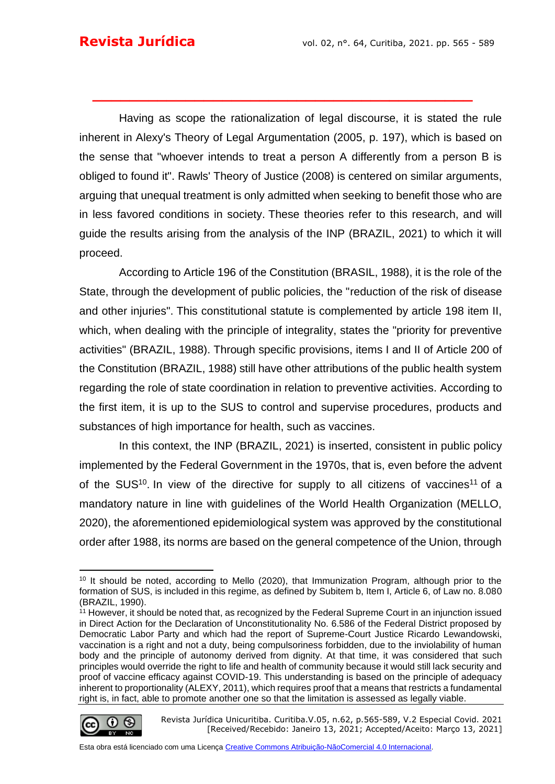Having as scope the rationalization of legal discourse, it is stated the rule inherent in Alexy's Theory of Legal Argumentation (2005, p. 197), which is based on the sense that "whoever intends to treat a person A differently from a person B is obliged to found it". Rawls' Theory of Justice (2008) is centered on similar arguments, arguing that unequal treatment is only admitted when seeking to benefit those who are in less favored conditions in society. These theories refer to this research, and will guide the results arising from the analysis of the INP (BRAZIL, 2021) to which it will proceed.

**\_\_\_\_\_\_\_\_\_\_\_\_\_\_\_\_\_\_\_\_\_\_\_\_\_\_\_\_\_\_\_\_\_\_\_\_\_\_\_\_\_**

According to Article 196 of the Constitution (BRASIL, 1988), it is the role of the State, through the development of public policies, the "reduction of the risk of disease and other injuries". This constitutional statute is complemented by article 198 item II, which, when dealing with the principle of integrality, states the "priority for preventive activities" (BRAZIL, 1988). Through specific provisions, items I and II of Article 200 of the Constitution (BRAZIL, 1988) still have other attributions of the public health system regarding the role of state coordination in relation to preventive activities. According to the first item, it is up to the SUS to control and supervise procedures, products and substances of high importance for health, such as vaccines.

In this context, the INP (BRAZIL, 2021) is inserted, consistent in public policy implemented by the Federal Government in the 1970s, that is, even before the advent of the SUS<sup>10</sup>. In view of the directive for supply to all citizens [of vaccines](https://www.translatoruser.net/bvsandbox.aspx?&from=pt&to=en&csId=479abae2-512a-473d-8fb9-428485b95340&usId=c7a84ef1-f180-4715-8742-b831c5ad15af&ac=true&bvrpx=false&bvrpp=&dt=2021%2F3%2F31%2013%3A41#_ftn11)<sup>11</sup> of a mandatory nature in line with guidelines of the World Health Organization (MELLO, 2020), the aforementioned epidemiological system was approved by the constitutional order after 1988, its norms are based on the general competence of the Union, through

 $11$  However, it should be noted that, as recognized by the Federal Supreme Court in an injunction issued in Direct Action for the Declaration of Unconstitutionality No. 6.586 of the Federal District proposed by Democratic Labor Party and which had the report of Supreme-Court Justice Ricardo Lewandowski, vaccination is a right and not a duty, being compulsoriness forbidden, due to the inviolability of human body and the principle of autonomy derived from dignity. At that time, it was considered that such principles would override the right to life and health of community because it would still lack security and proof of vaccine efficacy against COVID-19. This understanding is based on the principle of adequacy inherent to proportionality (ALEXY, 2011), which requires proof that a means that restricts a fundamental right is, in fact, able to promote another one so that the limitation is assessed as legally viable.



Revista Jurídica Unicuritiba. Curitiba.V.05, n.62, p.565-589, V.2 Especial Covid. 2021 [Received/Recebido: Janeiro 13, 2021; Accepted/Aceito: Março 13, 2021]

<sup>10</sup> It should be noted, according to Mello (2020), that Immunization Program, although prior to the formation of SUS, is included in this regime, as defined by Subitem b, Item I, Article 6, of Law no. 8.080 (BRAZIL, 1990).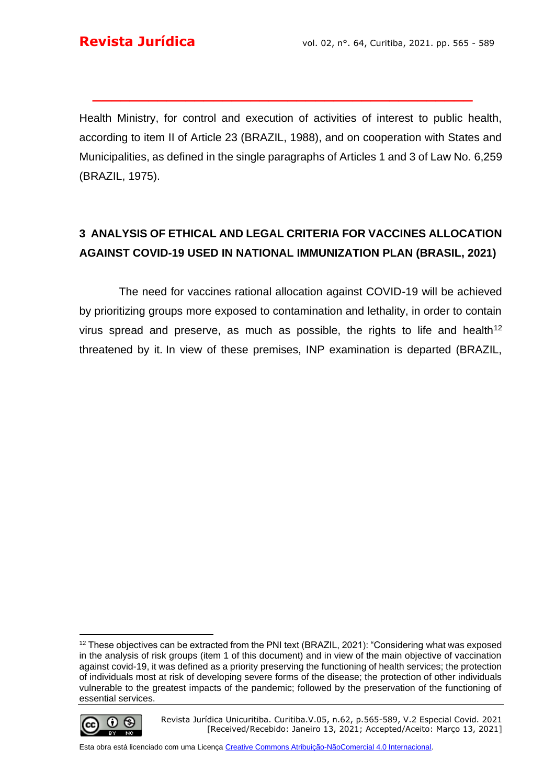Health Ministry, for control and execution of activities of interest to public health, according to item II of Article 23 (BRAZIL, 1988), and on cooperation with States and Municipalities, as defined in the single paragraphs of Articles 1 and 3 of Law No. 6,259 (BRAZIL, 1975).

**\_\_\_\_\_\_\_\_\_\_\_\_\_\_\_\_\_\_\_\_\_\_\_\_\_\_\_\_\_\_\_\_\_\_\_\_\_\_\_\_\_**

## **3 ANALYSIS OF ETHICAL AND LEGAL CRITERIA FOR VACCINES ALLOCATION AGAINST COVID-19 USED IN NATIONAL IMMUNIZATION PLAN (BRASIL, 2021)**

The need for vaccines rational allocation against COVID-19 will be achieved by prioritizing groups more exposed to contamination and lethality, in order to contain virus spread and preserve, as much as possible, the rights to life and health<sup>12</sup> threatened by it. In view of these premises, INP examination is departed (BRAZIL,

<sup>&</sup>lt;sup>12</sup> These objectives can be extracted from the PNI text (BRAZIL, 2021): "Considering what was exposed in the analysis of risk groups (item 1 of this document) and in view of the main objective of vaccination against covid-19, it was defined as a priority preserving the functioning of health services; the protection of individuals most at risk of developing severe forms of the disease; the protection of other individuals vulnerable to the greatest impacts of the pandemic; followed by the preservation of the functioning of essential services.



Revista Jurídica Unicuritiba. Curitiba.V.05, n.62, p.565-589, V.2 Especial Covid. 2021 [Received/Recebido: Janeiro 13, 2021; Accepted/Aceito: Março 13, 2021]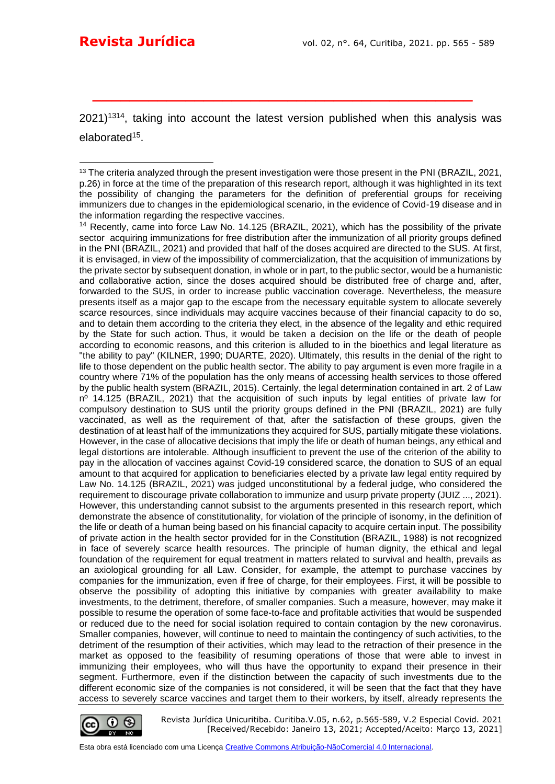$2021$ <sup>1314</sup>, taking into account the latest version published when this analysis was [elaborated](https://www.translatoruser.net/bvsandbox.aspx?&from=pt&to=en&csId=479abae2-512a-473d-8fb9-428485b95340&usId=c7a84ef1-f180-4715-8742-b831c5ad15af&ac=true&bvrpx=false&bvrpp=&dt=2021%2F3%2F31%2013%3A41#_ftn19)<sup>15</sup>.

**\_\_\_\_\_\_\_\_\_\_\_\_\_\_\_\_\_\_\_\_\_\_\_\_\_\_\_\_\_\_\_\_\_\_\_\_\_\_\_\_\_**

<sup>&</sup>lt;sup>14</sup> Recently, came into force Law No. 14.125 (BRAZIL, 2021), which has the possibility of the private sector acquiring immunizations for free distribution after the immunization of all priority groups defined in the PNI (BRAZIL, 2021) and provided that half of the doses acquired are directed to the SUS. At first, it is envisaged, in view of the impossibility of commercialization, that the acquisition of immunizations by the private sector by subsequent donation, in whole or in part, to the public sector, would be a humanistic and collaborative action, since the doses acquired should be distributed free of charge and, after, forwarded to the SUS, in order to increase public vaccination coverage. Nevertheless, the measure presents itself as a major gap to the escape from the necessary equitable system to allocate severely scarce resources, since individuals may acquire vaccines because of their financial capacity to do so, and to detain them according to the criteria they elect, in the absence of the legality and ethic required by the State for such action. Thus, it would be taken a decision on the life or the death of people according to economic reasons, and this criterion is alluded to in the bioethics and legal literature as "the ability to pay" (KILNER, 1990; DUARTE, 2020). Ultimately, this results in the denial of the right to life to those dependent on the public health [sector.](https://www.translatoruser.net/bvsandbox.aspx?&from=pt&to=en&csId=479abae2-512a-473d-8fb9-428485b95340&usId=c7a84ef1-f180-4715-8742-b831c5ad15af&ac=true&bvrpx=false&bvrpp=&dt=2021%2F3%2F31%2013%3A41#_ftn15) The ability to pay argument is even more fragile in a country where 71% of the population has the only means of accessing health services to those offered by the public health system (BRAZIL, 2015). Certainly, the legal determination contained in art. 2 of Law nº 14.125 (BRAZIL, 2021) that the acquisition of such inputs by legal entities of private law for compulsory destination to SUS until the priority groups defined in the PNI (BRAZIL, 2021) are fully vaccinated, as well as the requirement of that, after the satisfaction of these groups, given the destination of at least half of the immunizations they acquired for SUS, partially mitigate these violations. However, in the case of allocative decisions that imply the life or death of human beings, any ethical and legal distortions are intolerable. Although insufficient to prevent the use of the criterion of the ability to pay in the allocation of vaccines against Covid-19 considered scarce, the donation to SUS of an equal amount to that acquired for application to beneficiaries elected by a private law legal entity required by Law No. 14.125 (BRAZIL, 2021) was judged unconstitutional by a federal judge, who considered the requirement to discourage private collaboration to immunize and usurp private property (JUIZ ..., 2021). However, this understanding cannot subsist to the arguments presented in this research report, which demonstrate the absence of constitutionality, for violation of the principle of isonomy, in the definition of the life or death of a human being based on his financial capacity to acquire certain input. The possibility of private action in the health sector provided for in the Constitution (BRAZIL, 1988) is not recognized in face of severely scarce health resources. The principle of human dignity, the ethical and legal foundation of the requirement for equal treatment in matters related to survival and health, prevails as an axiological grounding for all Law. Consider, for example, the attempt to purchase vaccines by companies for the immunization, even if free of charge, for their employees. First, it will be possible to observe the possibility of adopting this initiative by companies with greater availability to make investments, to the detriment, therefore, of smaller companies. Such a measure, however, may make it possible to resume the operation of some face-to-face and profitable activities that would be suspended or reduced due to the need for social isolation required to contain contagion by the new coronavirus. Smaller companies, however, will continue to need to maintain the contingency of such activities, to the detriment of the resumption of their activities, which may lead to the retraction of their presence in the market as opposed to the feasibility of resuming operations of those that were able to invest in immunizing their employees, who will thus have the opportunity to expand their presence in their segment. Furthermore, even if the distinction between the capacity of such investments due to the different economic size of the companies is not considered, it will be seen that the fact that they have access to severely scarce vaccines and target them to their workers, by itself, already represents the



<sup>&</sup>lt;sup>13</sup> The criteria analyzed through the present investigation were those present in the PNI (BRAZIL, 2021, p.26) in force at the time of the preparation of this research report, although it was highlighted in its text the possibility of changing the parameters for the definition of preferential groups for receiving immunizers due to changes in the epidemiological scenario, in the evidence of Covid-19 disease and in the information regarding the respective vaccines.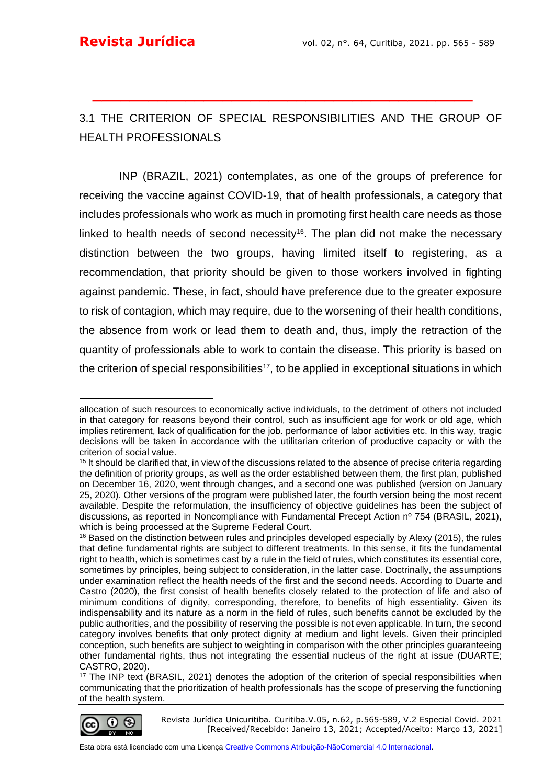## 3.1 THE CRITERION OF SPECIAL RESPONSIBILITIES AND THE GROUP OF HEALTH PROFESSIONALS

**\_\_\_\_\_\_\_\_\_\_\_\_\_\_\_\_\_\_\_\_\_\_\_\_\_\_\_\_\_\_\_\_\_\_\_\_\_\_\_\_\_**

INP (BRAZIL, 2021) contemplates, as one of the groups of preference for receiving the vaccine against COVID-19, that of health professionals, a category that includes professionals who work as much in promoting first health care needs as those linked to health needs of second necessity<sup>16</sup>. The plan did not make the necessary distinction between the two groups, having limited itself to registering, as a recommendation, that priority should be given to those workers involved in fighting against pandemic. These, in fact, should have preference due to the greater exposure to risk of contagion, which may require, due to the worsening of their health conditions, the absence from work or lead them to death and, thus, imply the retraction of the quantity of professionals able to work to contain the disease. This priority is based on the criterion of special responsibilities<sup>17</sup>, to be applied in exceptional situations in which

<sup>&</sup>lt;sup>17</sup> The INP text (BRASIL, 2021) denotes the adoption of the criterion of special responsibilities when communicating that the prioritization of health professionals has the scope of preserving the functioning of the health system.



allocation of such resources to economically active individuals, to the detriment of others not included in that category for reasons beyond their control, such as insufficient age for work or old age, which implies retirement, lack of qualification for the job. performance of labor activities etc. In this way, tragic decisions will be taken in accordance with the utilitarian criterion of productive capacity or with the criterion of social value.

<sup>&</sup>lt;sup>15</sup> It should be clarified that, in view of the discussions related to the absence of precise criteria regarding the definition of priority groups, as well as the order established between them, the first plan, published on December 16, 2020, went through changes, and a second one was published (version on January 25, 2020). Other versions of the program were published later, the fourth version being the most recent available. Despite the reformulation, the insufficiency of objective guidelines has been the subject of discussions, as reported in Noncompliance with Fundamental Precept Action nº 754 (BRASIL, 2021), which is being processed at the Supreme Federal Court.

<sup>&</sup>lt;sup>16</sup> Based on the distinction between rules and principles developed especially by Alexy (2015), the rules that define fundamental rights are subject to different treatments. In this sense, it fits the fundamental right to health, which is sometimes cast by a rule in the field of rules, which constitutes its essential core, sometimes by principles, being subject to consideration, in the latter case. Doctrinally, the assumptions under examination reflect the health needs of the first and the second needs. According to Duarte and Castro (2020), the first consist of health benefits closely related to the protection of life and also of minimum conditions of dignity, corresponding, therefore, to benefits of high essentiality. Given its indispensability and its nature as a norm in the field of rules, such benefits cannot be excluded by the public authorities, and the possibility of reserving the possible is not even applicable. In turn, the second category involves benefits that only protect dignity at medium and light levels. Given their principled conception, such benefits are subject to weighting in comparison with the other principles guaranteeing other fundamental rights, thus not integrating the essential nucleus of the right at issue (DUARTE; CASTRO, 2020).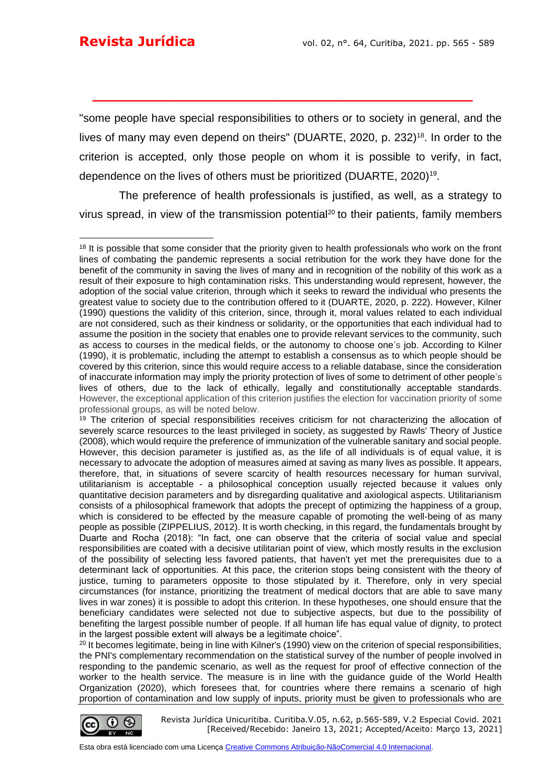"some people have special responsibilities to others or to society in general, and the lives of many may even depend on theirs" (DUARTE, 2020, p. 232)<sup>18</sup>. In order to the criterion is accepted, only those people on whom it is possible to verify, in fact, dependence on the lives of others must be prioritized (DUARTE, 2020)<sup>19</sup> .

**\_\_\_\_\_\_\_\_\_\_\_\_\_\_\_\_\_\_\_\_\_\_\_\_\_\_\_\_\_\_\_\_\_\_\_\_\_\_\_\_\_**

The preference of health professionals is justified, as well, as a strategy to virus spread, in view of the transmission potential<sup>20</sup> to their patients, family members

<sup>20</sup> It becomes legitimate, being in line with Kilner's (1990) view on the criterion of special responsibilities, the PNI's complementary recommendation on the statistical survey of the number of people involved in responding to the pandemic scenario, as well as the request for proof of effective connection of the worker to the health service. The measure is in line with the guidance guide of the World Health Organization (2020), which foresees that, for countries where there remains a scenario of high proportion of contamination and low supply of inputs, priority must be given to professionals who are



<sup>&</sup>lt;sup>18</sup> It is possible that some consider that the priority given to health professionals who work on the front lines of combating the pandemic represents a social retribution for the work they have done for the benefit of the community in saving the lives of many and in recognition of the nobility of this work as a result of their exposure to high contamination risks. This understanding would represent, however, the adoption of the social value criterion, through which it seeks to reward the individual who presents the greatest value to society due to the contribution offered to it (DUARTE, 2020, p. 222). However, Kilner (1990) questions the validity of this criterion, since, through it, moral values related to each individual are not considered, such as their kindness or solidarity, or the opportunities that each individual had to assume the position in the society that enables one to provide relevant services to the community, such as access to courses in the medical fields, or the autonomy to choose one's job. According to Kilner (1990), it is problematic, including the attempt to establish a consensus as to which people should be covered by this criterion, since this would require access to a reliable database, since the consideration of inaccurate information may imply the priority protection of lives of some to detriment of other people's lives of others, due to the lack of ethically, legally and constitutionally acceptable standards. However, the exceptional application of this criterion justifies the election for vaccination priority of some professional groups, as will be noted below.

<sup>&</sup>lt;sup>19</sup> The criterion of special responsibilities receives criticism for not characterizing the allocation of severely scarce resources to the least privileged in society, as suggested by Rawls' Theory of Justice (2008), which would require the preference of immunization of the vulnerable sanitary and social people. However, this decision parameter is justified as, as the life of all individuals is of equal value, it is necessary to advocate the adoption of measures aimed at saving as many lives as possible. It appears, therefore, that, in situations of severe scarcity of health resources necessary for human survival, utilitarianism is acceptable - a philosophical conception usually rejected because it values only quantitative decision parameters and by disregarding qualitative and axiological aspects. Utilitarianism consists of a philosophical framework that adopts the precept of optimizing the happiness of a group, which is considered to be effected by the measure capable of promoting the well-being of as many people as possible (ZIPPELIUS, 2012). It is worth checking, in this regard, the fundamentals brought by Duarte and Rocha (2018): "In fact, one can observe that the criteria of social value and special responsibilities are coated with a decisive utilitarian point of view, which mostly results in the exclusion of the possibility of selecting less favored patients, that haven't yet met the prerequisites due to a determinant lack of opportunities. At this pace, the criterion stops being consistent with the theory of justice, turning to parameters opposite to those stipulated by it. Therefore, only in very special circumstances (for instance, prioritizing the treatment of medical doctors that are able to save many lives in war zones) it is possible to adopt this criterion. In these hypotheses, one should ensure that the beneficiary candidates were selected not due to subjective aspects, but due to the possibility of benefiting the largest possible number of people. If all human life has equal value of dignity, to protect in the largest possible extent will always be a legitimate choice".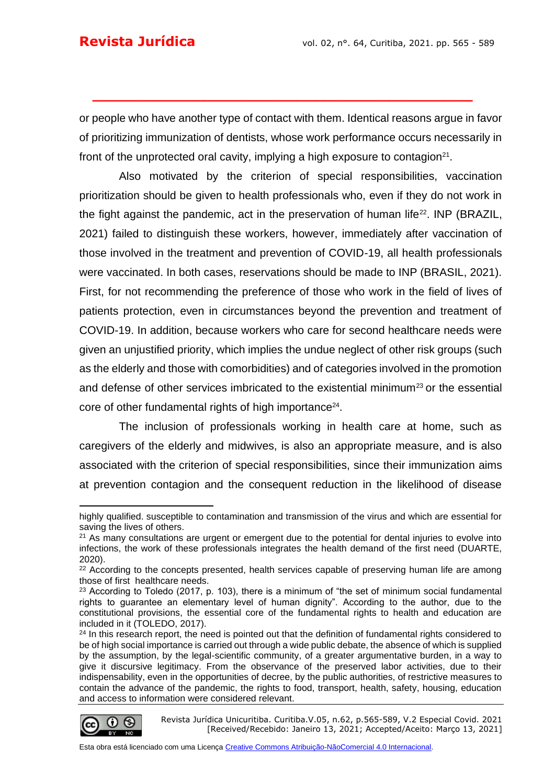or people who have another type of contact with them. Identical reasons argue in favor of prioritizing immunization of dentists, whose work performance occurs necessarily in front of the unprotected oral cavity, implying a high exposure to contagion<sup>21</sup>.

**\_\_\_\_\_\_\_\_\_\_\_\_\_\_\_\_\_\_\_\_\_\_\_\_\_\_\_\_\_\_\_\_\_\_\_\_\_\_\_\_\_**

Also motivated by the criterion of special responsibilities, vaccination prioritization should be given to health professionals who, even if they do not work in the fight against the pandemic, act in the preservation of human life<sup>22</sup>. INP (BRAZIL, 2021) failed to distinguish these workers, however, immediately after vaccination of those involved in the treatment and prevention of COVID-19, all health professionals were vaccinated. In both cases, reservations should be made to INP (BRASIL, 2021). First, for not recommending the preference of those who work in the field of lives of patients protection, even in circumstances beyond the prevention and treatment of COVID-19. In addition, because workers who care for second healthcare needs were given an unjustified priority, which implies the undue neglect of other risk groups (such as the elderly and those with comorbidities) and of categories involved in the promotion and defense of other services imbricated to the existential minimum<sup>23</sup> or the essential core of other fundamental rights of high importance<sup>24</sup>.

The inclusion of professionals working in health care at home, such as caregivers of the elderly and midwives, is also an appropriate measure, and is also associated with the criterion of special responsibilities, since their immunization aims at prevention contagion and the consequent reduction in the likelihood of disease

<sup>&</sup>lt;sup>24</sup> In this research report, the need is pointed out that the definition of fundamental rights considered to be of high social importance is carried out through a wide public debate, the absence of which is supplied by the assumption, by the legal-scientific community, of a greater argumentative burden, in a way to give it discursive legitimacy. From the observance of the preserved labor activities, due to their indispensability, even in the opportunities of decree, by the public authorities, of restrictive measures to contain the advance of the pandemic, the rights to food, transport, health, safety, housing, education and access to information were considered relevant.



Revista Jurídica Unicuritiba. Curitiba.V.05, n.62, p.565-589, V.2 Especial Covid. 2021 [Received/Recebido: Janeiro 13, 2021; Accepted/Aceito: Março 13, 2021]

highly qualified. susceptible to contamination and transmission of the virus and which are essential for saving the lives of others.

 $21$  As many consultations are urgent or emergent due to the potential for dental injuries to evolve into infections, the work of these professionals integrates the health demand of the first need (DUARTE, 2020).

<sup>&</sup>lt;sup>22</sup> According to the concepts presented, health services capable of preserving human life are among those of first healthcare needs.

<sup>&</sup>lt;sup>23</sup> According to Toledo (2017, p. 103), there is a minimum of "the set of minimum social fundamental rights to guarantee an elementary level of human dignity". According to the author, due to the constitutional provisions, the essential core of the fundamental rights to health and education are included in it (TOLEDO, 2017).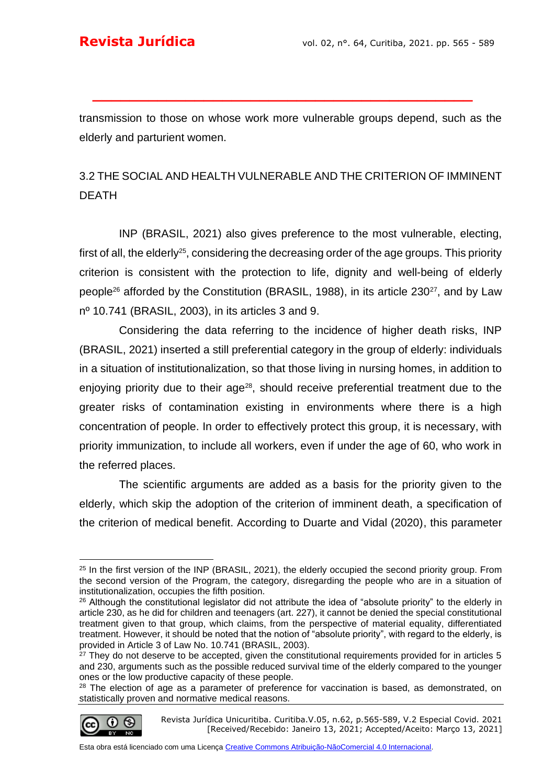transmission to those on whose work more vulnerable groups depend, such as the elderly and parturient women.

**\_\_\_\_\_\_\_\_\_\_\_\_\_\_\_\_\_\_\_\_\_\_\_\_\_\_\_\_\_\_\_\_\_\_\_\_\_\_\_\_\_**

## 3.2 THE SOCIAL AND HEALTH VULNERABLE AND THE CRITERION OF IMMINENT DEATH

INP (BRASIL, 2021) also gives preference to the most vulnerable, electing, first of all, the elderly<sup>25</sup>, considering the decreasing order of the age groups. This priority criterion is consistent with the protection to life, dignity and well-being of elderly people<sup>26</sup> afforded by the Constitution (BRASIL, 1988), in its article 230<sup>27</sup>, and by Law nº 10.741 (BRASIL, 2003), in its articles 3 and 9.

Considering the data referring to the incidence of higher death risks, INP (BRASIL, 2021) inserted a still preferential category in the group of elderly: individuals in a situation of institutionalization, so that those living in nursing homes, in addition to enjoying priority due to their age<sup>28</sup>, should receive preferential treatment due to the greater risks of contamination existing in environments where there is a high concentration of people. In order to effectively protect this group, it is necessary, with priority immunization, to include all workers, even if under the age of 60, who work in the referred places.

The scientific arguments are added as a basis for the priority given to the elderly, which skip the adoption of the criterion of imminent death, a specification of the criterion of medical benefit. According to Duarte and Vidal (2020), this parameter

$$
\bigcirc \limits_*
$$

<sup>&</sup>lt;sup>25</sup> In the first version of the INP (BRASIL, 2021), the elderly occupied the second priority group. From the second version of the Program, the category, disregarding the people who are in a situation of institutionalization, occupies the fifth position.

<sup>&</sup>lt;sup>26</sup> Although the constitutional legislator did not attribute the idea of "absolute priority" to the elderly in article 230, as he did for children and teenagers (art. 227), it cannot be denied the special constitutional treatment given to that group, which claims, from the perspective of material equality, differentiated treatment. However, it should be noted that the notion of "absolute priority", with regard to the elderly, is provided in Article 3 of Law No. 10.741 (BRASIL, 2003).

<sup>&</sup>lt;sup>27</sup> They do not deserve to be accepted, given the constitutional requirements provided for in articles 5 and 230, arguments such as the possible reduced survival time of the elderly compared to the younger ones or the low productive capacity of these people.

<sup>&</sup>lt;sup>28</sup> The election of age as a parameter of preference for vaccination is based, as demonstrated, on statistically proven and normative medical reasons.

Revista Jurídica Unicuritiba. Curitiba.V.05, n.62, p.565-589, V.2 Especial Covid. 2021 [Received/Recebido: Janeiro 13, 2021; Accepted/Aceito: Março 13, 2021]

Esta obra está licenciado com uma Licença [Creative Commons Atribuição-NãoComercial 4.0 Internacional.](http://creativecommons.org/licenses/by-nc/4.0/)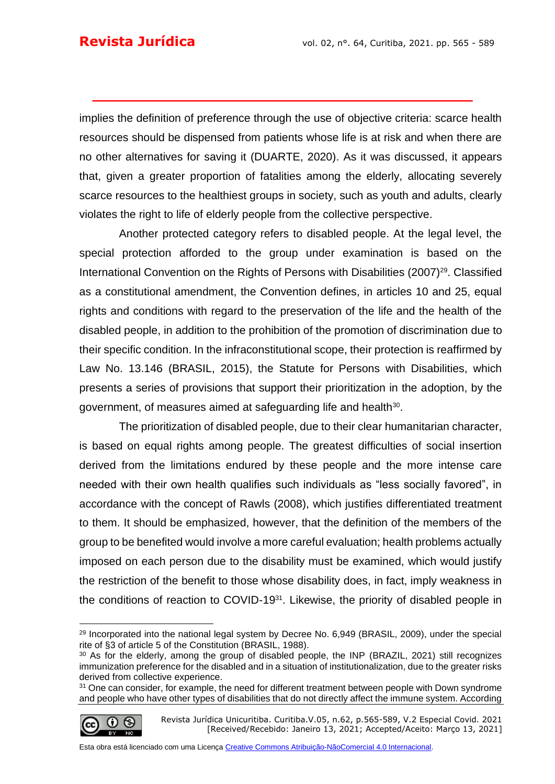implies the definition of preference through the use of objective criteria: scarce health resources should be dispensed from patients whose life is at risk and when there are no other alternatives for saving it (DUARTE, 2020). As it was discussed, it appears that, given a greater proportion of fatalities among the elderly, allocating severely scarce resources to the healthiest groups in society, such as youth and adults, clearly violates the right to life of elderly people from the collective perspective.

**\_\_\_\_\_\_\_\_\_\_\_\_\_\_\_\_\_\_\_\_\_\_\_\_\_\_\_\_\_\_\_\_\_\_\_\_\_\_\_\_\_**

Another protected category refers to disabled people. At the legal level, the special protection afforded to the group under examination is based on the International Convention on the Rights of Persons with Disabilities (2007)<sup>29</sup>. Classified as a constitutional amendment, the Convention defines, in articles 10 and 25, equal rights and conditions with regard to the preservation of the life and the health of the disabled people, in addition to the prohibition of the promotion of discrimination due to their specific condition. In the infraconstitutional scope, their protection is reaffirmed by Law No. 13.146 (BRASIL, 2015), the Statute for Persons with Disabilities, which presents a series of provisions that support their prioritization in the adoption, by the government, of measures aimed at safeguarding life and health<sup>30</sup>.

The prioritization of disabled people, due to their clear humanitarian character, is based on equal rights among people. The greatest difficulties of social insertion derived from the limitations endured by these people and the more intense care needed with their own health qualifies such individuals as "less socially favored", in accordance with the concept of Rawls (2008), which justifies differentiated treatment to them. It should be emphasized, however, that the definition of the members of the group to be benefited would involve a more careful evaluation; health problems actually imposed on each person due to the disability must be examined, which would justify the restriction of the benefit to those whose disability does, in fact, imply weakness in the conditions of reaction to COVID-1931. Likewise, the priority of disabled people in

$$
\bigcirc \limits_{{\mathbb R}} {\mathbb Q} \stackrel{(\mathbb{Q})}{\longrightarrow}
$$

<sup>&</sup>lt;sup>29</sup> Incorporated into the national legal system by Decree No. 6,949 (BRASIL, 2009), under the special rite of §3 of article 5 of the Constitution (BRASIL, 1988).

<sup>30</sup> As for the elderly, among the group of disabled people, the INP (BRAZIL, 2021) still recognizes immunization preference for the disabled and in a situation of institutionalization, due to the greater risks derived from collective experience.

<sup>&</sup>lt;sup>31</sup> One can consider, for example, the need for different treatment between people with Down syndrome and people who have other types of disabilities that do not directly affect the immune system. According

Revista Jurídica Unicuritiba. Curitiba.V.05, n.62, p.565-589, V.2 Especial Covid. 2021 [Received/Recebido: Janeiro 13, 2021; Accepted/Aceito: Março 13, 2021]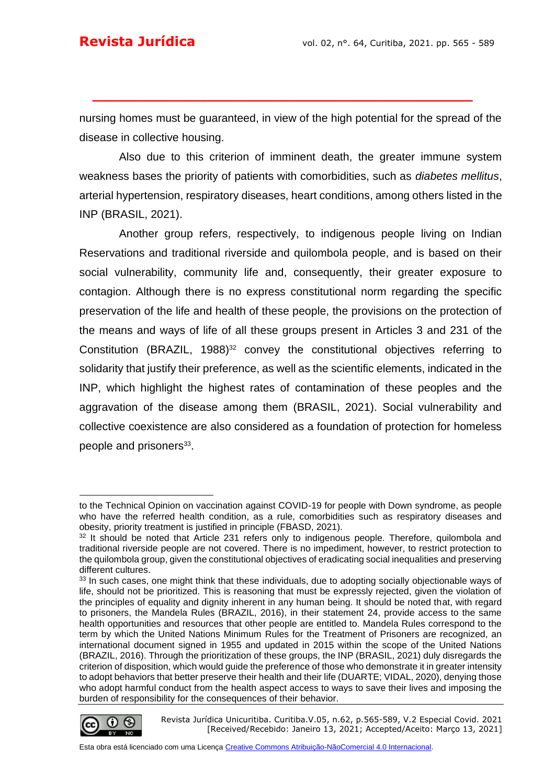nursing homes must be guaranteed, in view of the high potential for the spread of the disease in collective housing.

**\_\_\_\_\_\_\_\_\_\_\_\_\_\_\_\_\_\_\_\_\_\_\_\_\_\_\_\_\_\_\_\_\_\_\_\_\_\_\_\_\_**

Also due to this criterion of imminent death, the greater immune system weakness bases the priority of patients with comorbidities, such as *diabetes mellitus*, arterial hypertension, respiratory diseases, heart conditions, among others listed in the INP (BRASIL, 2021).

Another group refers, respectively, to indigenous people living on Indian Reservations and traditional riverside and quilombola people, and is based on their social vulnerability, community life and, consequently, their greater exposure to contagion. Although there is no express constitutional norm regarding the specific preservation of the life and health of these people, the provisions on the protection of the means and ways of life of all these groups present in Articles 3 and 231 of the Constitution (BRAZIL, 1988)<sup>32</sup> convey the constitutional objectives referring to solidarity that justify their preference, as well as the scientific elements, indicated in the INP, which highlight the highest rates of contamination of these peoples and the aggravation of the disease among them (BRASIL, 2021). Social vulnerability and collective coexistence are also considered as a foundation of protection for homeless people and prisoners<sup>33</sup>.

<sup>&</sup>lt;sup>33</sup> In such cases, one might think that these individuals, due to adopting socially objectionable ways of life, should not be prioritized. This is reasoning that must be expressly rejected, given the violation of the principles of equality and dignity inherent in any human being. It should be noted that, with regard to prisoners, the Mandela Rules (BRAZIL, 2016), in their statement 24, provide access to the same health opportunities and resources that other people are entitled to. Mandela Rules correspond to the term by which the United Nations Minimum Rules for the Treatment of Prisoners are recognized, an international document signed in 1955 and updated in 2015 within the scope of the United Nations (BRAZIL, 2016). Through the prioritization of these groups, the INP (BRASIL, 2021) duly disregards the criterion of disposition, which would guide the preference of those who demonstrate it in greater intensity to adopt behaviors that better preserve their health and their life (DUARTE; VIDAL, 2020), denying those who adopt harmful conduct from the health aspect access to ways to save their lives and imposing the burden of responsibility for the consequences of their behavior.



Revista Jurídica Unicuritiba. Curitiba.V.05, n.62, p.565-589, V.2 Especial Covid. 2021 [Received/Recebido: Janeiro 13, 2021; Accepted/Aceito: Março 13, 2021]

to the Technical Opinion on vaccination against COVID-19 for people with Down syndrome, as people who have the referred health condition, as a rule, comorbidities such as respiratory diseases and obesity, priority treatment is justified in principle (FBASD, 2021).

<sup>&</sup>lt;sup>32</sup> It should be noted that Article 231 refers only to indigenous people. Therefore, quilombola and traditional riverside people are not covered. There is no impediment, however, to restrict protection to the quilombola group, given the constitutional objectives of eradicating social inequalities and preserving different cultures.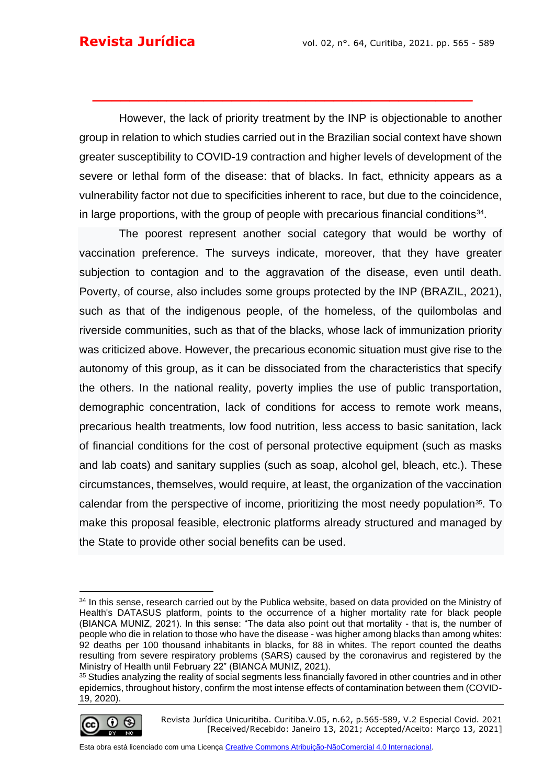However, the lack of priority treatment by the INP is objectionable to another group in relation to which studies carried out in the Brazilian social context have shown greater susceptibility to COVID-19 contraction and higher levels of development of the severe or lethal form of the disease: that of blacks. In fact, ethnicity appears as a vulnerability factor not due to specificities inherent to race, but due to the coincidence, in large proportions, with the group of people with precarious financial conditions $34$ .

**\_\_\_\_\_\_\_\_\_\_\_\_\_\_\_\_\_\_\_\_\_\_\_\_\_\_\_\_\_\_\_\_\_\_\_\_\_\_\_\_\_**

The poorest represent another social category that would be worthy of vaccination preference. The surveys indicate, moreover, that they have greater subjection to contagion and to the aggravation of the disease, even until death. Poverty, of course, also includes some groups protected by the INP (BRAZIL, 2021), such as that of the indigenous people, of the homeless, of the quilombolas and riverside communities, such as that of the blacks, whose lack of immunization priority was criticized above. However, the precarious economic situation must give rise to the autonomy of this group, as it can be dissociated from the characteristics that specify the others. In the national reality, poverty implies the use of public transportation, demographic concentration, lack of conditions for access to remote work means, precarious health treatments, low food nutrition, less access to basic sanitation, lack of financial conditions for the cost of personal protective equipment (such as masks and lab coats) and sanitary supplies (such as soap, alcohol gel, bleach, etc.). These circumstances, themselves, would require, at least, the organization of the vaccination calendar from the perspective of income, prioritizing the most needy population<sup>35</sup>. To make this proposal feasible, electronic platforms already structured and managed by the State to provide other social benefits can be used.

<sup>&</sup>lt;sup>35</sup> Studies analyzing the reality of social segments less financially favored in other countries and in other epidemics, throughout history, confirm the most intense effects of contamination between them (COVID-19, 2020).



Revista Jurídica Unicuritiba. Curitiba.V.05, n.62, p.565-589, V.2 Especial Covid. 2021 [Received/Recebido: Janeiro 13, 2021; Accepted/Aceito: Março 13, 2021]

<sup>&</sup>lt;sup>34</sup> In this sense, research carried out by the Publica website, based on data provided on the Ministry of Health's DATASUS platform, points to the occurrence of a higher mortality rate for black people (BIANCA MUNIZ, 2021). In this sense: "The data also point out that mortality - that is, the number of people who die in relation to those who have the disease - was higher among blacks than among whites: 92 deaths per 100 thousand inhabitants in blacks, for 88 in whites. The report counted the deaths resulting from severe respiratory problems (SARS) caused by the coronavirus and registered by the Ministry of Health until February 22" (BIANCA MUNIZ, 2021).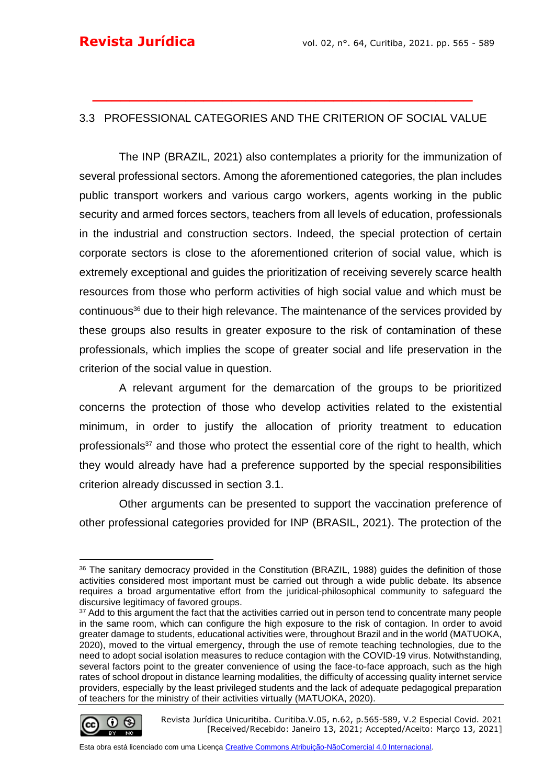## 3.3 PROFESSIONAL CATEGORIES AND THE CRITERION OF SOCIAL VALUE

**\_\_\_\_\_\_\_\_\_\_\_\_\_\_\_\_\_\_\_\_\_\_\_\_\_\_\_\_\_\_\_\_\_\_\_\_\_\_\_\_\_**

The INP (BRAZIL, 2021) also contemplates a priority for the immunization of several professional sectors. Among the aforementioned categories, the plan includes public transport workers and various cargo workers, agents working in the public security and armed forces sectors, teachers from all levels of education, professionals in the industrial and construction sectors. Indeed, the special protection of certain corporate sectors is close to the aforementioned criterion of social value, which is extremely exceptional and guides the prioritization of receiving severely scarce health resources from those who perform activities of high social value and which must be continuous<sup>36</sup> due to their high relevance. The maintenance of the services provided by these groups also results in greater exposure to the risk of contamination of these professionals, which implies the scope of greater social and life preservation in the criterion of the social value in question.

A relevant argument for the demarcation of the groups to be prioritized concerns the protection of those who develop activities related to the existential minimum, in order to justify the allocation of priority treatment to education professionals<sup>37</sup> and those who protect the essential core of the right to health, which they would already have had a preference supported by the special responsibilities criterion already discussed in section 3.1.

Other arguments can be presented to support the vaccination preference of other professional categories provided for INP (BRASIL, 2021). The protection of the

<sup>&</sup>lt;sup>37</sup> Add to this argument the fact that the activities carried out in person tend to concentrate many people in the same room, which can configure the high exposure to the risk of contagion. In order to avoid greater damage to students, educational activities were, throughout Brazil and in the world (MATUOKA, 2020), moved to the virtual emergency, through the use of remote teaching technologies, due to the need to adopt social isolation measures to reduce contagion with the COVID-19 virus. Notwithstanding, several factors point to the greater convenience of using the face-to-face approach, such as the high rates of school dropout in distance learning modalities, the difficulty of accessing quality internet service providers, especially by the least privileged students and the lack of adequate pedagogical preparation of teachers for the ministry of their activities virtually (MATUOKA, 2020).



Revista Jurídica Unicuritiba. Curitiba.V.05, n.62, p.565-589, V.2 Especial Covid. 2021 [Received/Recebido: Janeiro 13, 2021; Accepted/Aceito: Março 13, 2021]

<sup>&</sup>lt;sup>36</sup> The sanitary democracy provided in the Constitution (BRAZIL, 1988) guides the definition of those activities considered most important must be carried out through a wide public debate. Its absence requires a broad argumentative effort from the juridical-philosophical community to safeguard the discursive legitimacy of favored groups.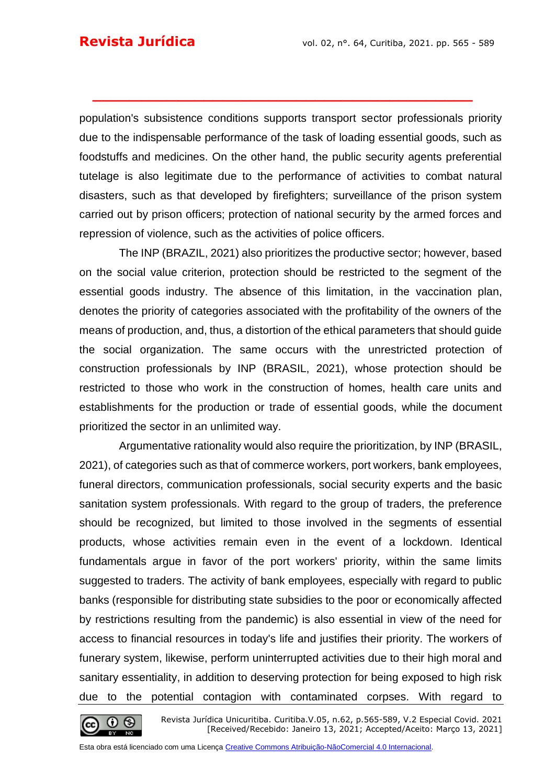population's subsistence conditions supports transport sector professionals priority due to the indispensable performance of the task of loading essential goods, such as foodstuffs and medicines. On the other hand, the public security agents preferential tutelage is also legitimate due to the performance of activities to combat natural disasters, such as that developed by firefighters; surveillance of the prison system carried out by prison officers; protection of national security by the armed forces and repression of violence, such as the activities of police officers.

**\_\_\_\_\_\_\_\_\_\_\_\_\_\_\_\_\_\_\_\_\_\_\_\_\_\_\_\_\_\_\_\_\_\_\_\_\_\_\_\_\_**

The INP (BRAZIL, 2021) also prioritizes the productive sector; however, based on the social value criterion, protection should be restricted to the segment of the essential goods industry. The absence of this limitation, in the vaccination plan, denotes the priority of categories associated with the profitability of the owners of the means of production, and, thus, a distortion of the ethical parameters that should guide the social organization. The same occurs with the unrestricted protection of construction professionals by INP (BRASIL, 2021), whose protection should be restricted to those who work in the construction of homes, health care units and establishments for the production or trade of essential goods, while the document prioritized the sector in an unlimited way.

Argumentative rationality would also require the prioritization, by INP (BRASIL, 2021), of categories such as that of commerce workers, port workers, bank employees, funeral directors, communication professionals, social security experts and the basic sanitation system professionals. With regard to the group of traders, the preference should be recognized, but limited to those involved in the segments of essential products, whose activities remain even in the event of a lockdown. Identical fundamentals argue in favor of the port workers' priority, within the same limits suggested to traders. The activity of bank employees, especially with regard to public banks (responsible for distributing state subsidies to the poor or economically affected by restrictions resulting from the pandemic) is also essential in view of the need for access to financial resources in today's life and justifies their priority. The workers of funerary system, likewise, perform uninterrupted activities due to their high moral and sanitary essentiality, in addition to deserving protection for being exposed to high risk due to the potential contagion with contaminated corpses. With regard to

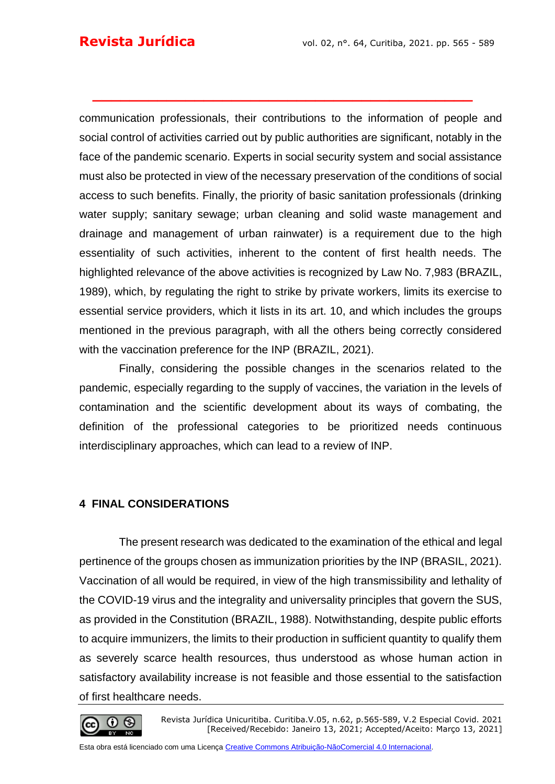communication professionals, their contributions to the information of people and social control of activities carried out by public authorities are significant, notably in the face of the pandemic scenario. Experts in social security system and social assistance must also be protected in view of the necessary preservation of the conditions of social access to such benefits. Finally, the priority of basic sanitation professionals (drinking water supply; sanitary sewage; urban cleaning and solid waste management and drainage and management of urban rainwater) is a requirement due to the high essentiality of such activities, inherent to the content of first health needs. The highlighted relevance of the above activities is recognized by Law No. 7,983 (BRAZIL, 1989), which, by regulating the right to strike by private workers, limits its exercise to essential service providers, which it lists in its art. 10, and which includes the groups mentioned in the previous paragraph, with all the others being correctly considered with the vaccination preference for the INP (BRAZIL, 2021).

**\_\_\_\_\_\_\_\_\_\_\_\_\_\_\_\_\_\_\_\_\_\_\_\_\_\_\_\_\_\_\_\_\_\_\_\_\_\_\_\_\_**

Finally, considering the possible changes in the scenarios related to the pandemic, especially regarding to the supply of vaccines, the variation in the levels of contamination and the scientific development about its ways of combating, the definition of the professional categories to be prioritized needs continuous interdisciplinary approaches, which can lead to a review of INP.

## **4 FINAL CONSIDERATIONS**

The present research was dedicated to the examination of the ethical and legal pertinence of the groups chosen as immunization priorities by the INP (BRASIL, 2021). Vaccination of all would be required, in view of the high transmissibility and lethality of the COVID-19 virus and the integrality and universality principles that govern the SUS, as provided in the Constitution (BRAZIL, 1988). Notwithstanding, despite public efforts to acquire immunizers, the limits to their production in sufficient quantity to qualify them as severely scarce health resources, thus understood as whose human action in satisfactory availability increase is not feasible and those essential to the satisfaction of first healthcare needs.

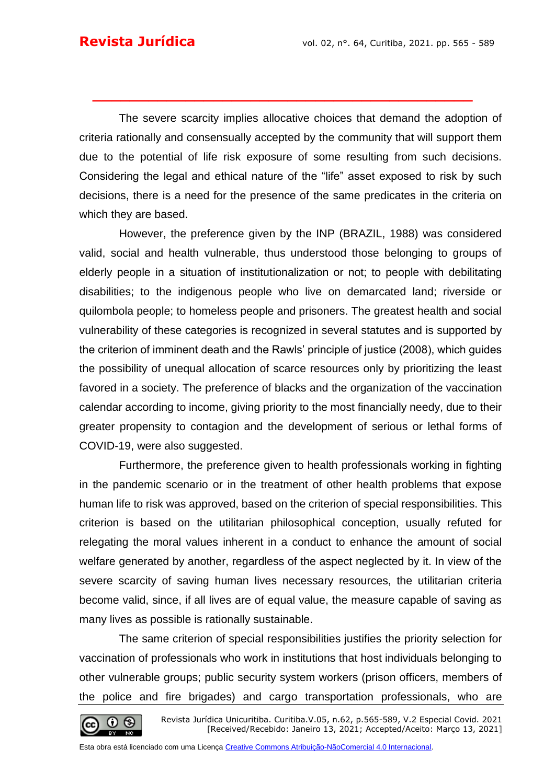The severe scarcity implies allocative choices that demand the adoption of criteria rationally and consensually accepted by the community that will support them due to the potential of life risk exposure of some resulting from such decisions. Considering the legal and ethical nature of the "life" asset exposed to risk by such decisions, there is a need for the presence of the same predicates in the criteria on which they are based.

**\_\_\_\_\_\_\_\_\_\_\_\_\_\_\_\_\_\_\_\_\_\_\_\_\_\_\_\_\_\_\_\_\_\_\_\_\_\_\_\_\_**

However, the preference given by the INP (BRAZIL, 1988) was considered valid, social and health vulnerable, thus understood those belonging to groups of elderly people in a situation of institutionalization or not; to people with debilitating disabilities; to the indigenous people who live on demarcated land; riverside or quilombola people; to homeless people and prisoners. The greatest health and social vulnerability of these categories is recognized in several statutes and is supported by the criterion of imminent death and the Rawls' principle of justice (2008), which guides the possibility of unequal allocation of scarce resources only by prioritizing the least favored in a society. The preference of blacks and the organization of the vaccination calendar according to income, giving priority to the most financially needy, due to their greater propensity to contagion and the development of serious or lethal forms of COVID-19, were also suggested.

Furthermore, the preference given to health professionals working in fighting in the pandemic scenario or in the treatment of other health problems that expose human life to risk was approved, based on the criterion of special responsibilities. This criterion is based on the utilitarian philosophical conception, usually refuted for relegating the moral values inherent in a conduct to enhance the amount of social welfare generated by another, regardless of the aspect neglected by it. In view of the severe scarcity of saving human lives necessary resources, the utilitarian criteria become valid, since, if all lives are of equal value, the measure capable of saving as many lives as possible is rationally sustainable.

The same criterion of special responsibilities justifies the priority selection for vaccination of professionals who work in institutions that host individuals belonging to other vulnerable groups; public security system workers (prison officers, members of the police and fire brigades) and cargo transportation professionals, who are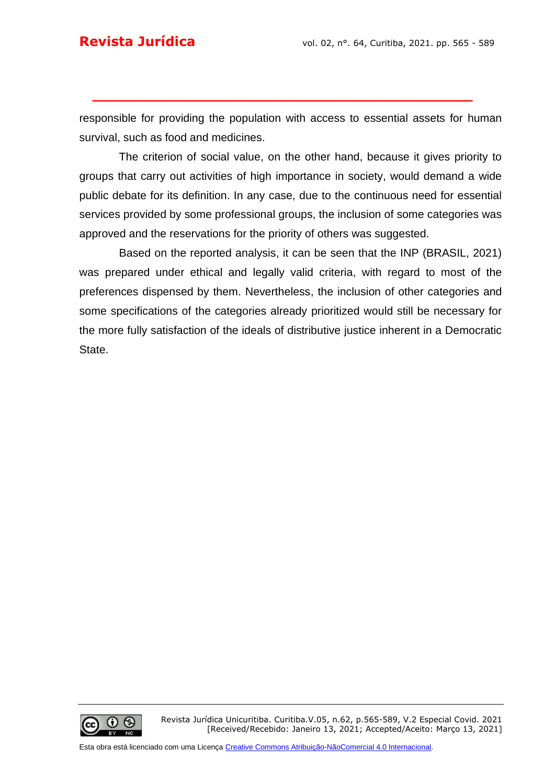responsible for providing the population with access to essential assets for human survival, such as food and medicines.

**\_\_\_\_\_\_\_\_\_\_\_\_\_\_\_\_\_\_\_\_\_\_\_\_\_\_\_\_\_\_\_\_\_\_\_\_\_\_\_\_\_**

The criterion of social value, on the other hand, because it gives priority to groups that carry out activities of high importance in society, would demand a wide public debate for its definition. In any case, due to the continuous need for essential services provided by some professional groups, the inclusion of some categories was approved and the reservations for the priority of others was suggested.

Based on the reported analysis, it can be seen that the INP (BRASIL, 2021) was prepared under ethical and legally valid criteria, with regard to most of the preferences dispensed by them. Nevertheless, the inclusion of other categories and some specifications of the categories already prioritized would still be necessary for the more fully satisfaction of the ideals of distributive justice inherent in a Democratic State.

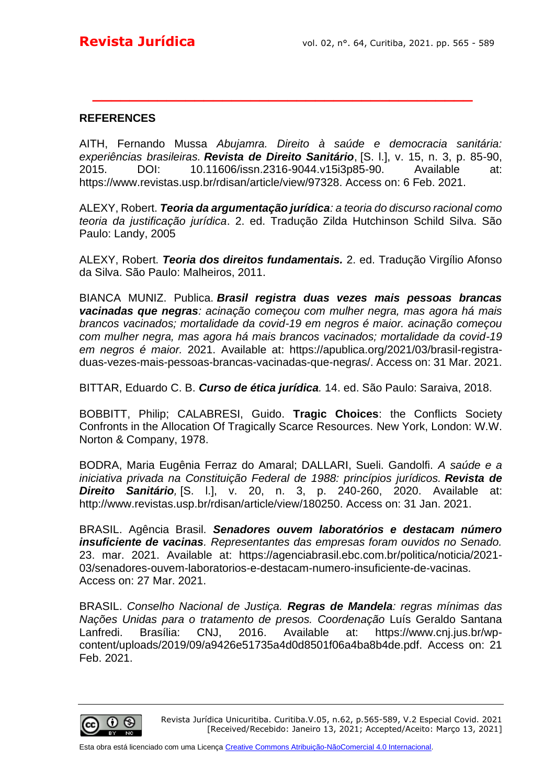### **REFERENCES**

AITH, Fernando Mussa *Abujamra. Direito à saúde e democracia sanitária: experiências brasileiras. Revista de Direito Sanitário*, [S. l.], v. 15, n. 3, p. 85-90, 2015. DOI: 10.11606/issn.2316-9044.v15i3p85-90. Available at: https://www.revistas.usp.br/rdisan/article/view/97328. Access on: 6 Feb. 2021.

**\_\_\_\_\_\_\_\_\_\_\_\_\_\_\_\_\_\_\_\_\_\_\_\_\_\_\_\_\_\_\_\_\_\_\_\_\_\_\_\_\_**

ALEXY, Robert. *Teoria da argumentação jurídica: a teoria do discurso racional como teoria da justificação jurídica*. 2. ed. Tradução Zilda Hutchinson Schild Silva. São Paulo: Landy, 2005

ALEXY, Robert. *Teoria dos direitos fundamentais.* 2. ed. Tradução Virgílio Afonso da Silva. São Paulo: Malheiros, 2011.

BIANCA MUNIZ. Publica. *Brasil registra duas vezes mais pessoas brancas vacinadas que negras: acinação começou com mulher negra, mas agora há mais brancos vacinados; mortalidade da covid-19 em negros é maior. acinação começou com mulher negra, mas agora há mais brancos vacinados; mortalidade da covid-19 em negros é maior.* 2021. Available at: https://apublica.org/2021/03/brasil-registraduas-vezes-mais-pessoas-brancas-vacinadas-que-negras/. Access on: 31 Mar. 2021.

BITTAR, Eduardo C. B. *Curso de ética jurídica.* 14. ed. São Paulo: Saraiva, 2018.

BOBBITT, Philip; CALABRESI, Guido. **Tragic Choices**: the Conflicts Society Confronts in the Allocation Of Tragically Scarce Resources. New York, London: W.W. Norton & Company, 1978.

BODRA, Maria Eugênia Ferraz do Amaral; DALLARI, Sueli. Gandolfi. *A saúde e a iniciativa privada na Constituição Federal de 1988: princípios jurídicos. Revista de Direito Sanitário,* [S. l.], v. 20, n. 3, p. 240-260, 2020. Available at: http://www.revistas.usp.br/rdisan/article/view/180250. Access on: 31 Jan. 2021.

BRASIL. Agência Brasil. *Senadores ouvem laboratórios e destacam número insuficiente de vacinas. Representantes das empresas foram ouvidos no Senado.* 23. mar. 2021. Available at: https://agenciabrasil.ebc.com.br/politica/noticia/2021- 03/senadores-ouvem-laboratorios-e-destacam-numero-insuficiente-de-vacinas. Access on: 27 Mar. 2021.

BRASIL. *Conselho Nacional de Justiça. Regras de Mandela: regras mínimas das Nações Unidas para o tratamento de presos. Coordenação* Luís Geraldo Santana Lanfredi. Brasília: CNJ, 2016. Available at: https://www.cnj.jus.br/wpcontent/uploads/2019/09/a9426e51735a4d0d8501f06a4ba8b4de.pdf. Access on: 21 Feb. 2021.

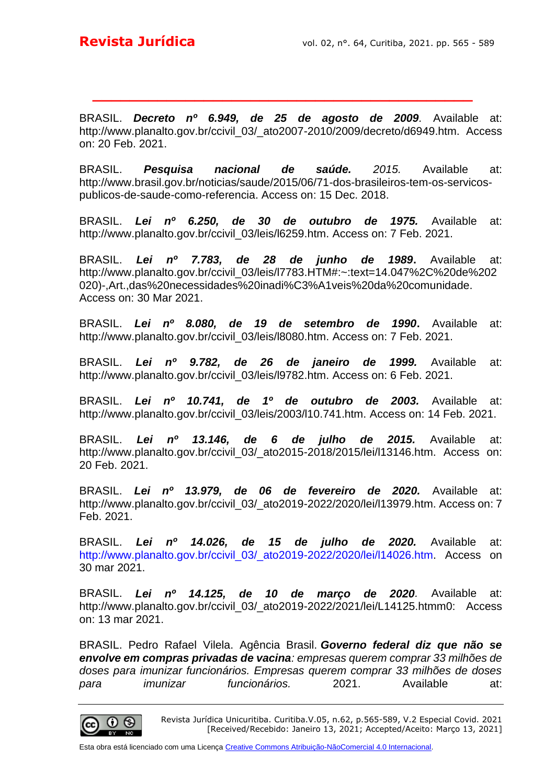BRASIL. *Decreto nº 6.949, de 25 de agosto de 2009.* Available at: http://www.planalto.gov.br/ccivil\_03/\_ato2007-2010/2009/decreto/d6949.htm. Access on: 20 Feb. 2021.

**\_\_\_\_\_\_\_\_\_\_\_\_\_\_\_\_\_\_\_\_\_\_\_\_\_\_\_\_\_\_\_\_\_\_\_\_\_\_\_\_\_**

BRASIL. *Pesquisa nacional de saúde. 2015.* Available at: http://www.brasil.gov.br/noticias/saude/2015/06/71-dos-brasileiros-tem-os-servicospublicos-de-saude-como-referencia. Access on: 15 Dec. 2018.

BRASIL. *Lei nº 6.250, de 30 de outubro de 1975.* Available at: http://www.planalto.gov.br/ccivil\_03/leis/l6259.htm. Access on: 7 Feb. 2021.

BRASIL. *Lei nº 7.783, de 28 de junho de 1989***.** Available at: http://www.planalto.gov.br/ccivil\_03/leis/l7783.HTM#:~:text=14.047%2C%20de%202 020)-,Art.,das%20necessidades%20inadi%C3%A1veis%20da%20comunidade. Access on: 30 Mar 2021.

BRASIL. *Lei nº 8.080, de 19 de setembro de 1990***.** Available at: http://www.planalto.gov.br/ccivil\_03/leis/l8080.htm. Access on: 7 Feb. 2021.

BRASIL. *Lei nº 9.782, de 26 de janeiro de 1999.* Available at: http://www.planalto.gov.br/ccivil 03/leis/l9782.htm. Access on: 6 Feb. 2021.

BRASIL. *Lei nº 10.741, de 1º de outubro de 2003.* Available at: http://www.planalto.gov.br/ccivil\_03/leis/2003/l10.741.htm. Access on: 14 Feb. 2021.

BRASIL. *Lei nº 13.146, de 6 de julho de 2015.* Available at: http://www.planalto.gov.br/ccivil 03/ ato2015-2018/2015/lei/l13146.htm. Access on: 20 Feb. 2021.

BRASIL. *Lei nº 13.979, de 06 de fevereiro de 2020.* Available at: http://www.planalto.gov.br/ccivil\_03/\_ato2019-2022/2020/lei/l13979.htm. Access on: 7 Feb. 2021.

BRASIL. *Lei nº 14.026, de 15 de julho de 2020.* Available at: http://www.planalto.gov.br/ccivil 03/ ato2019-2022/2020/lei/l14026.htm. Access on 30 mar 2021.

BRASIL. *Lei nº 14.125, de 10 de março de 2020.* Available at: http://www.planalto.gov.br/ccivil\_03/\_ato2019-2022/2021/lei/L14125.htmm0: Access on: 13 mar 2021.

BRASIL. Pedro Rafael Vilela. Agência Brasil. *Governo federal diz que não se envolve em compras privadas de vacina: empresas querem comprar 33 milhões de doses para imunizar funcionários. Empresas querem comprar 33 milhões de doses para imunizar funcionários.* 2021. Available at:



Revista Jurídica Unicuritiba. Curitiba.V.05, n.62, p.565-589, V.2 Especial Covid. 2021 [Received/Recebido: Janeiro 13, 2021; Accepted/Aceito: Março 13, 2021]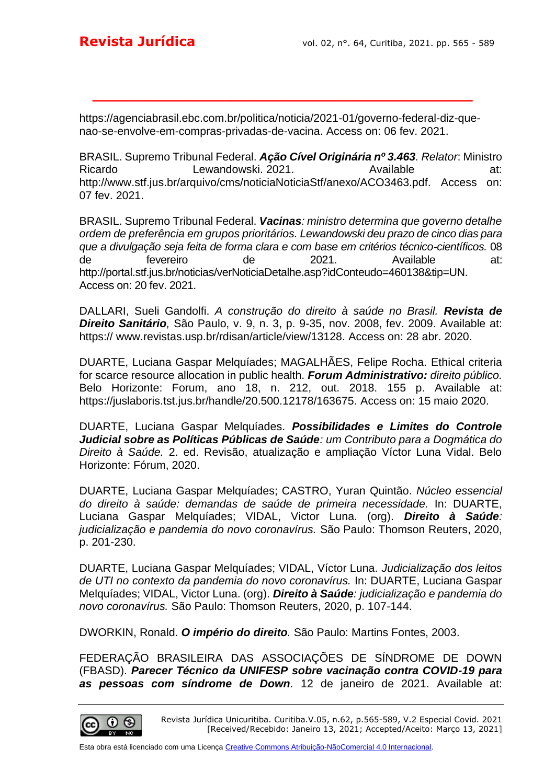https://agenciabrasil.ebc.com.br/politica/noticia/2021-01/governo-federal-diz-quenao-se-envolve-em-compras-privadas-de-vacina. Access on: 06 fev. 2021.

**\_\_\_\_\_\_\_\_\_\_\_\_\_\_\_\_\_\_\_\_\_\_\_\_\_\_\_\_\_\_\_\_\_\_\_\_\_\_\_\_\_**

BRASIL. Supremo Tribunal Federal. *Ação Cível Originária nº 3.463. Relator*: Ministro Ricardo Lewandowski. 2021. Available at: http://www.stf.jus.br/arquivo/cms/noticiaNoticiaStf/anexo/ACO3463.pdf. Access on: 07 fev. 2021.

BRASIL. Supremo Tribunal Federal. *Vacinas: ministro determina que governo detalhe ordem de preferência em grupos prioritários. Lewandowski deu prazo de cinco dias para que a divulgação seja feita de forma clara e com base em critérios técnico-científicos.* 08 de fevereiro de 2021. Available at: http://portal.stf.jus.br/noticias/verNoticiaDetalhe.asp?idConteudo=460138&tip=UN. Access on: 20 fev. 2021.

DALLARI, Sueli Gandolfi. *A construção do direito à saúde no Brasil. Revista de Direito Sanitário,* São Paulo, v. 9, n. 3, p. 9-35, nov. 2008, fev. 2009. Available at: https:// www.revistas.usp.br/rdisan/article/view/13128. Access on: 28 abr. 2020.

DUARTE, Luciana Gaspar Melquíades; MAGALHÃES, Felipe Rocha. Ethical criteria for scarce resource allocation in public health. *Forum Administrativo: direito público.*  Belo Horizonte: Forum, ano 18, n. 212, out. 2018. 155 p. Available at: https://juslaboris.tst.jus.br/handle/20.500.12178/163675. Access on: 15 maio 2020.

DUARTE, Luciana Gaspar Melquíades. *Possibilidades e Limites do Controle Judicial sobre as Políticas Públicas de Saúde: um Contributo para a Dogmática do Direito à Saúde.* 2. ed. Revisão, atualização e ampliação Víctor Luna Vidal. Belo Horizonte: Fórum, 2020.

DUARTE, Luciana Gaspar Melquíades; CASTRO, Yuran Quintão. *Núcleo essencial do direito à saúde: demandas de saúde de primeira necessidade.* In: DUARTE, Luciana Gaspar Melquíades; VIDAL, Victor Luna. (org). *Direito à Saúde: judicialização e pandemia do novo coronavírus.* São Paulo: Thomson Reuters, 2020, p. 201-230.

DUARTE, Luciana Gaspar Melquíades; VIDAL, Víctor Luna. *Judicialização dos leitos de UTI no contexto da pandemia do novo coronavírus.* In: DUARTE, Luciana Gaspar Melquíades; VIDAL, Victor Luna. (org). *Direito à Saúde: judicialização e pandemia do novo coronavírus.* São Paulo: Thomson Reuters, 2020, p. 107-144.

DWORKIN, Ronald. *O império do direito.* São Paulo: Martins Fontes, 2003.

FEDERAÇÃO BRASILEIRA DAS ASSOCIAÇÕES DE SÍNDROME DE DOWN (FBASD). *Parecer Técnico da UNIFESP sobre vacinação contra COVID-19 para as pessoas com síndrome de Down.* 12 de janeiro de 2021. Available at:

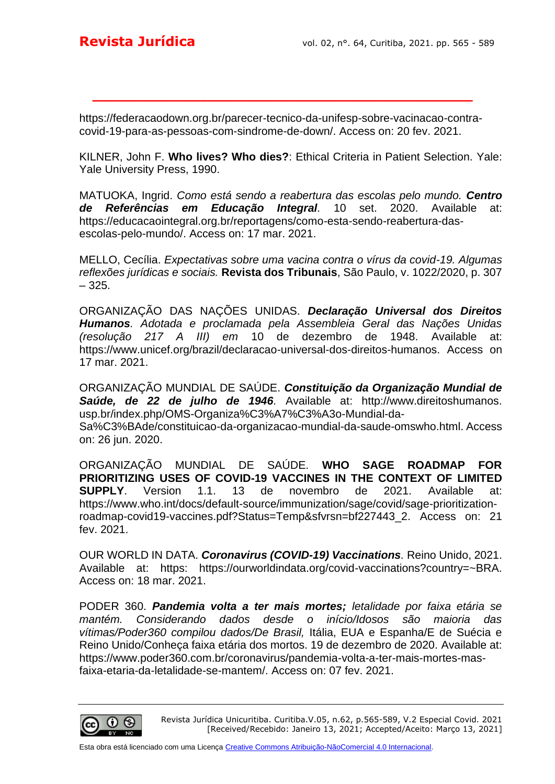https://federacaodown.org.br/parecer-tecnico-da-unifesp-sobre-vacinacao-contracovid-19-para-as-pessoas-com-sindrome-de-down/. Access on: 20 fev. 2021.

**\_\_\_\_\_\_\_\_\_\_\_\_\_\_\_\_\_\_\_\_\_\_\_\_\_\_\_\_\_\_\_\_\_\_\_\_\_\_\_\_\_**

KILNER, John F. **Who lives? Who dies?**: Ethical Criteria in Patient Selection. Yale: Yale University Press, 1990.

MATUOKA, Ingrid. *Como está sendo a reabertura das escolas pelo mundo. Centro de Referências em Educação Integral.* 10 set. 2020. Available at: https://educacaointegral.org.br/reportagens/como-esta-sendo-reabertura-dasescolas-pelo-mundo/. Access on: 17 mar. 2021.

MELLO, Cecília. *Expectativas sobre uma vacina contra o vírus da covid-19. Algumas reflexões jurídicas e sociais.* **Revista dos Tribunais**, São Paulo, v. 1022/2020, p. 307 – 325.

ORGANIZAÇÃO DAS NAÇÕES UNIDAS. *Declaração Universal dos Direitos Humanos. Adotada e proclamada pela Assembleia Geral das Nações Unidas (resolução 217 A III) em* 10 de dezembro de 1948. Available at: https://www.unicef.org/brazil/declaracao-universal-dos-direitos-humanos. Access on 17 mar. 2021.

ORGANIZAÇÃO MUNDIAL DE SAÚDE. *Constituição da Organização Mundial de Saúde, de 22 de julho de 1946.* Available at: http://www.direitoshumanos. usp.br/index.php/OMS-Organiza%C3%A7%C3%A3o-Mundial-da-Sa%C3%BAde/constituicao-da-organizacao-mundial-da-saude-omswho.html. Access on: 26 jun. 2020.

ORGANIZAÇÃO MUNDIAL DE SAÚDE. **WHO SAGE ROADMAP FOR PRIORITIZING USES OF COVID-19 VACCINES IN THE CONTEXT OF LIMITED SUPPLY**. Version 1.1. 13 de novembro de 2021. Available at: https://www.who.int/docs/default-source/immunization/sage/covid/sage-prioritizationroadmap-covid19-vaccines.pdf?Status=Temp&sfvrsn=bf227443\_2. Access on: 21 fev. 2021.

OUR WORLD IN DATA. *Coronavirus (COVID-19) Vaccinations.* Reino Unido, 2021. Available at: https: https://ourworldindata.org/covid-vaccinations?country=~BRA. Access on: 18 mar. 2021.

PODER 360. *Pandemia volta a ter mais mortes; letalidade por faixa etária se mantém. Considerando dados desde o início/Idosos são maioria das vítimas/Poder360 compilou dados/De Brasil,* Itália, EUA e Espanha/E de Suécia e Reino Unido/Conheça faixa etária dos mortos. 19 de dezembro de 2020. Available at: https://www.poder360.com.br/coronavirus/pandemia-volta-a-ter-mais-mortes-masfaixa-etaria-da-letalidade-se-mantem/. Access on: 07 fev. 2021.